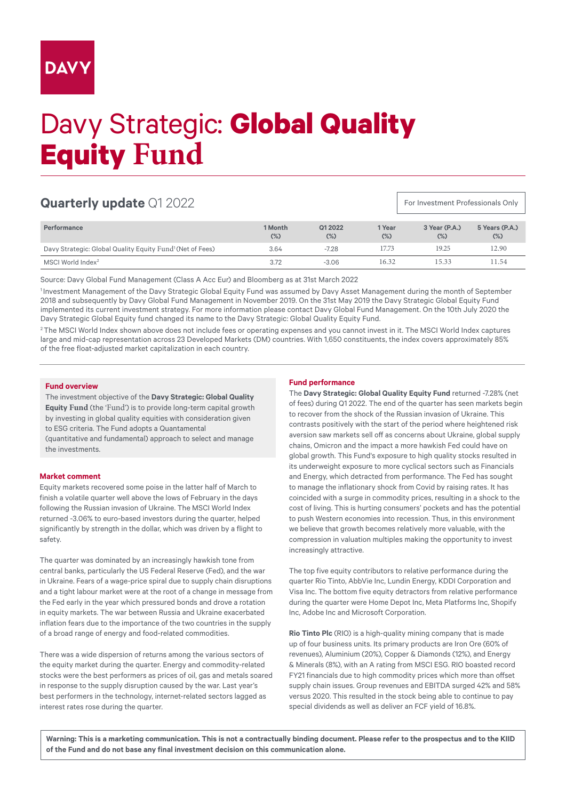## **DAV**

# Davy Strategic: **Global Quality Equity Fund**

### **Quarterly update** Q1 2022

**Performance 1 Month (%) Q1 2022 (%) 1 Year (%) 3 Year (P.A.) (%) 5 Years (P.A.) (%)** Davy Strategic: Global Quality Equity Fund<sup>1</sup> (Net of Fees) 3.64 -7.28 17.73 19.25 12.90 MSCI World Index<sup>2</sup> 8.72 11.54 11.54 11.54 11.54 11.54 11.54 11.54 11.54 11.54 11.54 11.54 11.54 11.54 11.54 11.54 11.54 11.54 11.54 11.54 11.54 11.54 11.54 11.54 11.54 11.54 11.54 11.54 11.54 11.54 11.54 11.54 11.54 11.54

Source: Davy Global Fund Management (Class A Acc Eur) and Bloomberg as at 31st March 2022

<sup>1</sup> Investment Management of the Davy Strategic Global Equity Fund was assumed by Davy Asset Management during the month of September 2018 and subsequently by Davy Global Fund Management in November 2019. On the 31st May 2019 the Davy Strategic Global Equity Fund implemented its current investment strategy. For more information please contact Davy Global Fund Management. On the 10th July 2020 the Davy Strategic Global Equity fund changed its name to the Davy Strategic: Global Quality Equity Fund.

<sup>2</sup>The MSCI World Index shown above does not include fees or operating expenses and you cannot invest in it. The MSCI World Index captures large and mid-cap representation across 23 Developed Markets (DM) countries. With 1,650 constituents, the index covers approximately 85% of the free float-adjusted market capitalization in each country.

#### **Fund overview**

The investment objective of the **Davy Strategic: Global Quality Equity Fund** (the 'Fund') is to provide long-term capital growth by investing in global quality equities with consideration given to ESG criteria. The Fund adopts a Quantamental

(quantitative and fundamental) approach to select and manage the investments.

#### **Market comment**

Equity markets recovered some poise in the latter half of March to finish a volatile quarter well above the lows of February in the days following the Russian invasion of Ukraine. The MSCI World Index returned -3.06% to euro-based investors during the quarter, helped significantly by strength in the dollar, which was driven by a flight to safety.

The quarter was dominated by an increasingly hawkish tone from central banks, particularly the US Federal Reserve (Fed), and the war in Ukraine. Fears of a wage-price spiral due to supply chain disruptions and a tight labour market were at the root of a change in message from the Fed early in the year which pressured bonds and drove a rotation in equity markets. The war between Russia and Ukraine exacerbated inflation fears due to the importance of the two countries in the supply of a broad range of energy and food-related commodities.

There was a wide dispersion of returns among the various sectors of the equity market during the quarter. Energy and commodity-related stocks were the best performers as prices of oil, gas and metals soared in response to the supply disruption caused by the war. Last year's best performers in the technology, internet-related sectors lagged as interest rates rose during the quarter.

#### **Fund performance**

The **Davy Strategic: Global Quality Equity Fund** returned -7.28% (net of fees) during Q1 2022. The end of the quarter has seen markets begin to recover from the shock of the Russian invasion of Ukraine. This contrasts positively with the start of the period where heightened risk aversion saw markets sell off as concerns about Ukraine, global supply chains, Omicron and the impact a more hawkish Fed could have on global growth. This Fund's exposure to high quality stocks resulted in its underweight exposure to more cyclical sectors such as Financials and Energy, which detracted from performance. The Fed has sought to manage the inflationary shock from Covid by raising rates. It has coincided with a surge in commodity prices, resulting in a shock to the cost of living. This is hurting consumers' pockets and has the potential to push Western economies into recession. Thus, in this environment we believe that growth becomes relatively more valuable, with the compression in valuation multiples making the opportunity to invest increasingly attractive.

For Investment Professionals Only

The top five equity contributors to relative performance during the quarter Rio Tinto, AbbVie Inc, Lundin Energy, KDDI Corporation and Visa Inc. The bottom five equity detractors from relative performance during the quarter were Home Depot Inc, Meta Platforms Inc, Shopify Inc, Adobe Inc and Microsoft Corporation.

**Rio Tinto Plc** (RIO) is a high-quality mining company that is made up of four business units. Its primary products are Iron Ore (60% of revenues), Aluminium (20%), Copper & Diamonds (12%), and Energy & Minerals (8%), with an A rating from MSCI ESG. RIO boasted record FY21 financials due to high commodity prices which more than offset supply chain issues. Group revenues and EBITDA surged 42% and 58% versus 2020. This resulted in the stock being able to continue to pay special dividends as well as deliver an FCF yield of 16.8%.

**Warning: This is a marketing communication. This is not a contractually binding document. Please refer to the prospectus and to the KIID of the Fund and do not base any final investment decision on this communication alone.**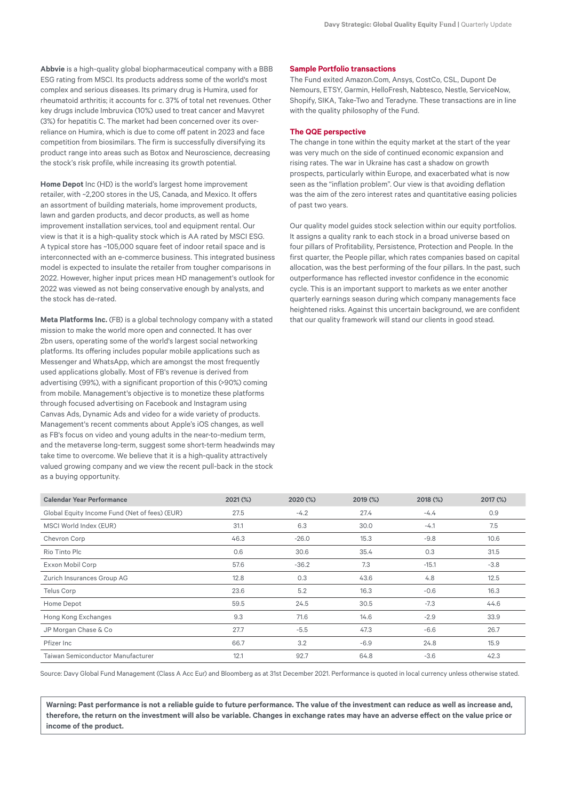**Abbvie** is a high-quality global biopharmaceutical company with a BBB ESG rating from MSCI. Its products address some of the world's most complex and serious diseases. Its primary drug is Humira, used for rheumatoid arthritis; it accounts for c. 37% of total net revenues. Other key drugs include Imbruvica (10%) used to treat cancer and Mavyret (3%) for hepatitis C. The market had been concerned over its overreliance on Humira, which is due to come off patent in 2023 and face competition from biosimilars. The firm is successfully diversifying its product range into areas such as Botox and Neuroscience, decreasing the stock's risk profile, while increasing its growth potential.

**Home Depot** Inc (HD) is the world's largest home improvement retailer, with ~2,200 stores in the US, Canada, and Mexico. It offers an assortment of building materials, home improvement products, lawn and garden products, and decor products, as well as home improvement installation services, tool and equipment rental. Our view is that it is a high-quality stock which is AA rated by MSCI ESG. A typical store has ~105,000 square feet of indoor retail space and is interconnected with an e-commerce business. This integrated business model is expected to insulate the retailer from tougher comparisons in 2022. However, higher input prices mean HD management's outlook for 2022 was viewed as not being conservative enough by analysts, and the stock has de-rated.

**Meta Platforms Inc.** (FB) is a global technology company with a stated mission to make the world more open and connected. It has over 2bn users, operating some of the world's largest social networking platforms. Its offering includes popular mobile applications such as Messenger and WhatsApp, which are amongst the most frequently used applications globally. Most of FB's revenue is derived from advertising (99%), with a significant proportion of this (>90%) coming from mobile. Management's objective is to monetize these platforms through focused advertising on Facebook and Instagram using Canvas Ads, Dynamic Ads and video for a wide variety of products. Management's recent comments about Apple's iOS changes, as well as FB's focus on video and young adults in the near-to-medium term, and the metaverse long-term, suggest some short-term headwinds may take time to overcome. We believe that it is a high-quality attractively valued growing company and we view the recent pull-back in the stock as a buying opportunity.

#### **Sample Portfolio transactions**

The Fund exited Amazon.Com, Ansys, CostCo, CSL, Dupont De Nemours, ETSY, Garmin, HelloFresh, Nabtesco, Nestle, ServiceNow, Shopify, SIKA, Take-Two and Teradyne. These transactions are in line with the quality philosophy of the Fund.

#### **The QQE perspective**

The change in tone within the equity market at the start of the year was very much on the side of continued economic expansion and rising rates. The war in Ukraine has cast a shadow on growth prospects, particularly within Europe, and exacerbated what is now seen as the "inflation problem". Our view is that avoiding deflation was the aim of the zero interest rates and quantitative easing policies of past two years.

Our quality model guides stock selection within our equity portfolios. It assigns a quality rank to each stock in a broad universe based on four pillars of Profitability, Persistence, Protection and People. In the first quarter, the People pillar, which rates companies based on capital allocation, was the best performing of the four pillars. In the past, such outperformance has reflected investor confidence in the economic cycle. This is an important support to markets as we enter another quarterly earnings season during which company managements face heightened risks. Against this uncertain background, we are confident that our quality framework will stand our clients in good stead.

| <b>Calendar Year Performance</b>              | 2021 (%) | 2020 (%) | 2019 (%) | 2018 (%) | 2017 (%) |
|-----------------------------------------------|----------|----------|----------|----------|----------|
| Global Equity Income Fund (Net of fees) (EUR) | 27.5     | $-4.2$   | 27.4     | $-4.4$   | 0.9      |
| MSCI World Index (EUR)                        | 31.1     | 6.3      | 30.0     | $-4.1$   | 7.5      |
| Chevron Corp                                  | 46.3     | $-26.0$  | 15.3     | $-9.8$   | 10.6     |
| Rio Tinto Plc                                 | 0.6      | 30.6     | 35.4     | 0.3      | 31.5     |
| Exxon Mobil Corp                              | 57.6     | $-36.2$  | 7.3      | $-15.1$  | $-3.8$   |
| Zurich Insurances Group AG                    | 12.8     | 0.3      | 43.6     | 4.8      | 12.5     |
| Telus Corp                                    | 23.6     | 5.2      | 16.3     | $-0.6$   | 16.3     |
| Home Depot                                    | 59.5     | 24.5     | 30.5     | $-7.3$   | 44.6     |
| Hong Kong Exchanges                           | 9.3      | 71.6     | 14.6     | $-2.9$   | 33.9     |
| JP Morgan Chase & Co                          | 27.7     | $-5.5$   | 47.3     | $-6.6$   | 26.7     |
| Pfizer Inc                                    | 66.7     | 3.2      | $-6.9$   | 24.8     | 15.9     |
| Taiwan Semiconductor Manufacturer             | 12.1     | 92.7     | 64.8     | $-3.6$   | 42.3     |

Source: Davy Global Fund Management (Class A Acc Eur) and Bloomberg as at 31st December 2021. Performance is quoted in local currency unless otherwise stated.

**Warning: Past performance is not a reliable guide to future performance. The value of the investment can reduce as well as increase and, therefore, the return on the investment will also be variable. Changes in exchange rates may have an adverse effect on the value price or income of the product.**